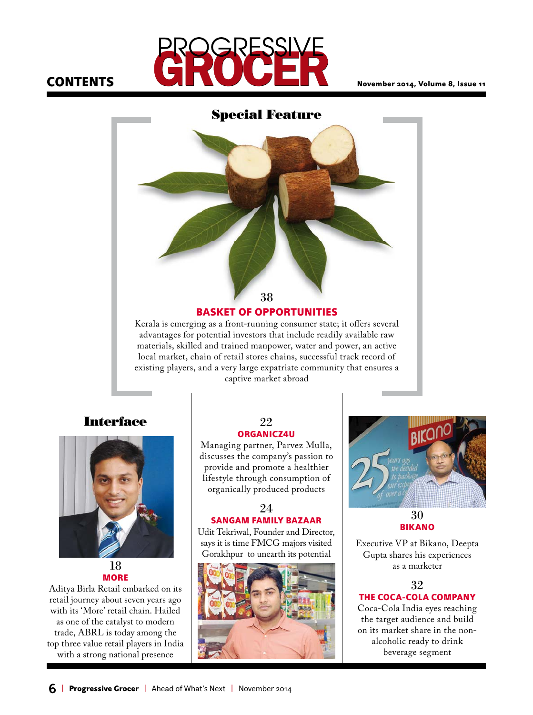

## **Special Feature**



Kerala is emerging as a front-running consumer state; it offers several advantages for potential investors that include readily available raw materials, skilled and trained manpower, water and power, an active local market, chain of retail stores chains, successful track record of existing players, and a very large expatriate community that ensures a captive market abroad

## **Interface**



18 **MORE** 

Aditya Birla Retail embarked on its retail journey about seven years ago with its 'More' retail chain. Hailed as one of the catalyst to modern trade, ABRL is today among the top three value retail players in India with a strong national presence

#### 22 ORGANICZ4U

Managing partner, Parvez Mulla, discusses the company's passion to provide and promote a healthier lifestyle through consumption of organically produced products

### 24 SANGAM FAMILY BAZAAR

Udit Tekriwal, Founder and Director, says it is time FMCG majors visited Gorakhpur to unearth its potential





30 BIKANO

Executive VP at Bikano, Deepta Gupta shares his experiences as a marketer

#### 32 THE COCA-COLA COMPANY

Coca-Cola India eyes reaching the target audience and build on its market share in the nonalcoholic ready to drink beverage segment